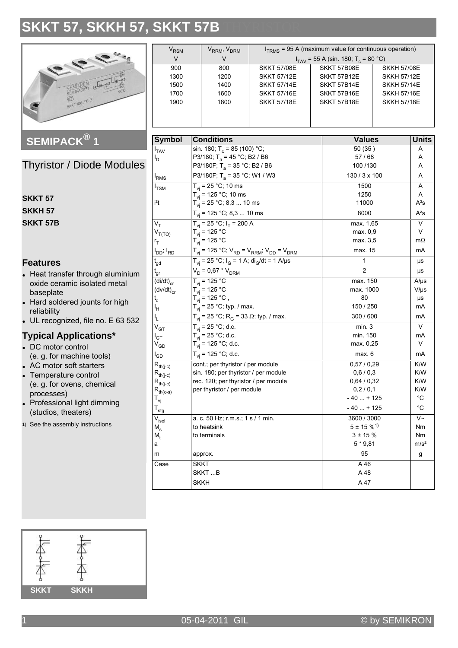# SKKT 57, SKKH 57, SKKT 57B



## SEMIPACK<sup>®</sup> 1

**Thyristor / Diode Modules** 

| SKKT 57  |
|----------|
| SKKH 57  |
| SKKT 57B |

### **Features**

- Heat transfer through aluminium oxide ceramic isolated metal baseplate
- Hard soldered jounts for high reliability
- UL recognized, file no. E 63 532

### **Typical Applications\***

- DC motor control (e. g. for machine tools)
- AC motor soft starters
- Temperature control (e. g. for ovens, chemical processes)
- Professional light dimming (studios, theaters)
- 1) See the assembly instructions

| $V_{RSM}$                                                                                                                |                                                                    | V <sub>RRM</sub> , V <sub>DRM</sub>                                                 | $ITRMS$ = 95 A (maximum value for continuous operation) |  |                                              |               |                        |  |
|--------------------------------------------------------------------------------------------------------------------------|--------------------------------------------------------------------|-------------------------------------------------------------------------------------|---------------------------------------------------------|--|----------------------------------------------|---------------|------------------------|--|
| V                                                                                                                        |                                                                    | V                                                                                   | $I_{TAV}$ = 55 A (sin. 180; T <sub>c</sub> = 80 °C)     |  |                                              |               |                        |  |
| 900                                                                                                                      |                                                                    | 800                                                                                 | <b>SKKT 57/08E</b>                                      |  | SKKT 57B08E<br><b>SKKH 57/08E</b>            |               |                        |  |
| 1300                                                                                                                     |                                                                    | 1200                                                                                | <b>SKKT 57/12E</b>                                      |  | SKKT 57B12E<br><b>SKKH 57/12E</b>            |               |                        |  |
| 1500                                                                                                                     |                                                                    | 1400                                                                                | <b>SKKT 57/14E</b>                                      |  | SKKT 57B14E<br><b>SKKH 57/14E</b>            |               |                        |  |
| 1700                                                                                                                     |                                                                    | 1600                                                                                | <b>SKKT 57/16E</b>                                      |  | SKKT 57B16E<br><b>SKKH 57/16E</b>            |               |                        |  |
| 1900                                                                                                                     |                                                                    | 1800                                                                                | <b>SKKT 57/18E</b>                                      |  | SKKT 57B18E<br><b>SKKH 57/18E</b>            |               |                        |  |
|                                                                                                                          |                                                                    |                                                                                     |                                                         |  |                                              |               |                        |  |
|                                                                                                                          |                                                                    |                                                                                     |                                                         |  |                                              |               |                        |  |
|                                                                                                                          | <b>Symbol</b><br><b>Conditions</b>                                 |                                                                                     |                                                         |  |                                              | <b>Values</b> |                        |  |
|                                                                                                                          |                                                                    |                                                                                     |                                                         |  | 50 (35)                                      |               | <b>Units</b>           |  |
| $I_{TAV}$                                                                                                                |                                                                    | sin. 180; T <sub>c</sub> = 85 (100) °C;                                             |                                                         |  | 57/68                                        |               | A<br>A                 |  |
| l <sub>D</sub>                                                                                                           |                                                                    | P3/180; T <sub>a</sub> = 45 °C; B2 / B6<br>P3/180F; T <sub>a</sub> = 35 °C; B2 / B6 |                                                         |  | 100 / 130                                    |               | A                      |  |
|                                                                                                                          |                                                                    |                                                                                     |                                                         |  | 130 / 3 x 100                                |               | A                      |  |
| <sup>I</sup> RMS                                                                                                         | P3/180F; T <sub>a</sub> = 35 °C; W1 / W3                           |                                                                                     |                                                         |  |                                              |               |                        |  |
| $I_{TSM}$                                                                                                                | $T_{vi}$ = 25 °C; 10 ms                                            |                                                                                     |                                                         |  | 1500                                         |               | A                      |  |
| i <sup>2</sup> t                                                                                                         |                                                                    | $T_{vi}$ = 125 °C; 10 ms                                                            |                                                         |  | 1250                                         |               | Α<br>$A^2S$            |  |
|                                                                                                                          |                                                                    | $T_{vi}$ = 25 °C; 8,3  10 ms                                                        |                                                         |  | 11000<br>8000                                |               | $A^2s$                 |  |
| $T_{vi}$ = 125 °C; 8,3  10 ms                                                                                            |                                                                    |                                                                                     |                                                         |  |                                              |               | V                      |  |
| $V_T$                                                                                                                    | $T_{vi}$ = 25 °C; $I_T$ = 200 A                                    |                                                                                     |                                                         |  | max. 1,65<br>max. 0.9                        |               | V                      |  |
|                                                                                                                          | $T_{\rm vi}$ = 125 °C<br>$V_{T(TO)}$<br>$T_{vi}$ = 125 °C          |                                                                                     |                                                         |  | max. 3,5                                     |               | $m\Omega$              |  |
| $r_T$                                                                                                                    |                                                                    |                                                                                     |                                                         |  | max. 15                                      |               | mA                     |  |
| $T_{\text{vj}}$ = 125 °C; $V_{\text{RD}}$ = $V_{\text{RRM}}$ ; $V_{\text{DD}}$ = $V_{\text{DRM}}$<br>$I_{DD}$ ; $I_{RD}$ |                                                                    |                                                                                     |                                                         |  | 1                                            |               |                        |  |
| $T_{vi}$ = 25 °C; $I_G$ = 1 A; di <sub>G</sub> /dt = 1 A/µs<br>$\mathfrak{t}_{\mathsf{gd}}$                              |                                                                    |                                                                                     |                                                         |  | 2                                            |               | μs                     |  |
| $t_{gr}$                                                                                                                 | $V_D = 0.67 * V_{DRM}$                                             |                                                                                     |                                                         |  |                                              |               | μs                     |  |
| $\overline{(\mathsf{di}/\mathsf{dt})}_{\text{cr}}$                                                                       | $T_{\rm vi}$ = 125 °C                                              |                                                                                     |                                                         |  | max. 150<br>max. 1000                        |               | $A/\mu s$              |  |
| $(dv/dt)_{cr}$                                                                                                           | $T_{vi}$ = 125 °C<br>$T_{vi}$ = 125 °C,                            |                                                                                     |                                                         |  | 80                                           |               | $V/\mu s$              |  |
| $t_{q}$                                                                                                                  | $T_{vi}$ = 25 °C; typ. / max.                                      |                                                                                     |                                                         |  | 150 / 250                                    |               | μs<br>mA               |  |
|                                                                                                                          | ŀн                                                                 |                                                                                     |                                                         |  | 300 / 600                                    |               | mA                     |  |
| ı'                                                                                                                       | $T_{vi}$ = 25 °C; R <sub>G</sub> = 33 Ω; typ. / max.               |                                                                                     |                                                         |  | min.3                                        |               | V                      |  |
| $\rm \bar{V}_{GT}$                                                                                                       | $T_{vi}$ = 25 °C; d.c.                                             |                                                                                     |                                                         |  | min. 150                                     |               | mA                     |  |
| $I_{\text{GT}}$                                                                                                          | $T_{vi}$ = 25 °C; d.c.<br>$T_{vi}$ = 125 °C; d.c.                  |                                                                                     |                                                         |  | max. 0,25                                    |               | V                      |  |
| $\rm V_{GD}$                                                                                                             |                                                                    |                                                                                     |                                                         |  |                                              |               |                        |  |
| $I_{GD}$                                                                                                                 | $T_{vi}$ = 125 °C; d.c.<br>cont.; per thyristor / per module       |                                                                                     |                                                         |  | max. 6<br>mA                                 |               |                        |  |
| $\mathsf{R}_{\mathsf{th}(j\text{-}c)}$                                                                                   |                                                                    |                                                                                     |                                                         |  | 0,57/0,29                                    |               | K/W                    |  |
| $R_{th(j-c)}$                                                                                                            | sin. 180; per thyristor / per module                               |                                                                                     |                                                         |  | 0,6/0,3<br>0,64/0,32                         |               | K/W<br>K/W             |  |
| $\mathsf{R}_{\mathsf{th}(j\text{-}c)}$                                                                                   | rec. 120; per thyristor / per module<br>per thyristor / per module |                                                                                     |                                                         |  | 0,2/0,1                                      |               | K/W                    |  |
| $R_{th(c-s)}$                                                                                                            |                                                                    |                                                                                     |                                                         |  | $-40+125$                                    |               | $^{\circ}{\rm C}$      |  |
|                                                                                                                          | $\mathsf{T}_{\mathsf{vj}}$                                         |                                                                                     |                                                         |  | $-40+125$                                    |               | $^{\circ}$ C           |  |
| $\mathsf{T}_{\text{stg}}$                                                                                                |                                                                    |                                                                                     |                                                         |  |                                              |               |                        |  |
| $\bar{\text{V}}_{\text{isol}}$                                                                                           | a. c. 50 Hz; r.m.s.; 1 s / 1 min.                                  |                                                                                     |                                                         |  | 3600 / 3000                                  |               | $\overline{\vee}$      |  |
| $M_{s}$                                                                                                                  | to heatsink<br>to terminals                                        |                                                                                     |                                                         |  | $5 \pm 15 \%$ <sup>1)</sup><br>$3 \pm 15 \%$ |               | Nm                     |  |
|                                                                                                                          | $M_{t}$<br>а                                                       |                                                                                     |                                                         |  | $5 * 9,81$                                   |               | Nm<br>m/s <sup>2</sup> |  |
|                                                                                                                          |                                                                    |                                                                                     |                                                         |  |                                              |               |                        |  |
| m                                                                                                                        | approx.                                                            |                                                                                     |                                                         |  | 95                                           |               | g                      |  |
| Case                                                                                                                     | <b>SKKT</b><br>SKKTB                                               |                                                                                     |                                                         |  | A 46                                         |               |                        |  |
|                                                                                                                          |                                                                    |                                                                                     |                                                         |  | A 48                                         |               |                        |  |
| <b>SKKH</b>                                                                                                              |                                                                    |                                                                                     |                                                         |  | A 47                                         |               |                        |  |

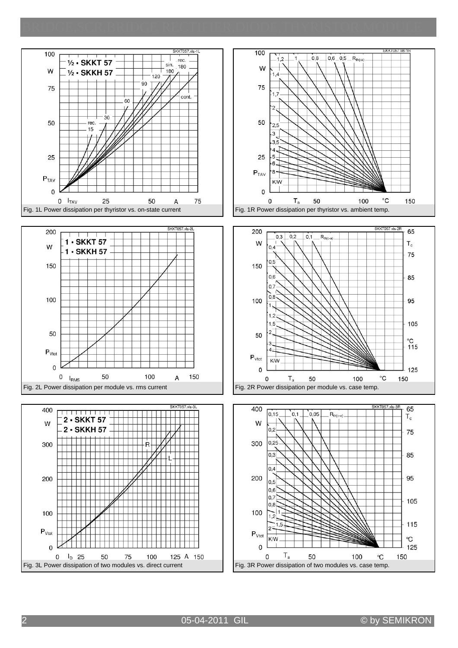









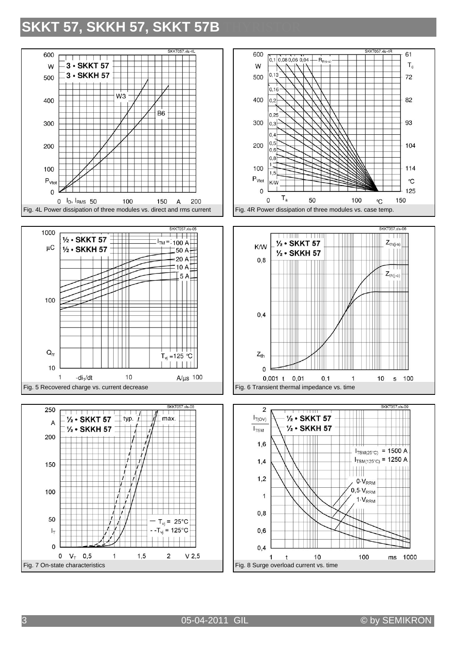## **SKKT 57, SKKH 57, SKKT 57B**